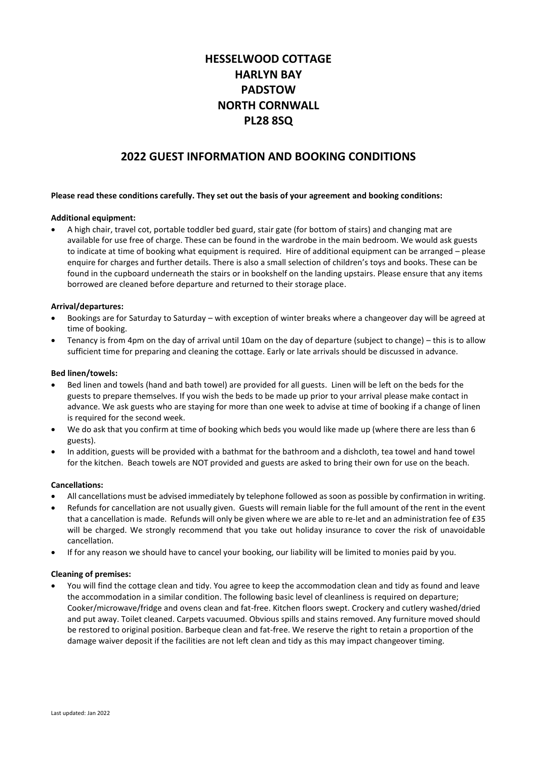# **HESSELWOOD COTTAGE HARLYN BAY PADSTOW NORTH CORNWALL PL28 8SQ**

## **2022 GUEST INFORMATION AND BOOKING CONDITIONS**

## **Please read these conditions carefully. They set out the basis of your agreement and booking conditions:**

## **Additional equipment:**

• A high chair, travel cot, portable toddler bed guard, stair gate (for bottom of stairs) and changing mat are available for use free of charge. These can be found in the wardrobe in the main bedroom. We would ask guests to indicate at time of booking what equipment is required. Hire of additional equipment can be arranged – please enquire for charges and further details. There is also a small selection of children's toys and books. These can be found in the cupboard underneath the stairs or in bookshelf on the landing upstairs. Please ensure that any items borrowed are cleaned before departure and returned to their storage place.

## **Arrival/departures:**

- Bookings are for Saturday to Saturday with exception of winter breaks where a changeover day will be agreed at time of booking.
- Tenancy is from 4pm on the day of arrival until 10am on the day of departure (subject to change) this is to allow sufficient time for preparing and cleaning the cottage. Early or late arrivals should be discussed in advance.

#### **Bed linen/towels:**

- Bed linen and towels (hand and bath towel) are provided for all guests. Linen will be left on the beds for the guests to prepare themselves. If you wish the beds to be made up prior to your arrival please make contact in advance. We ask guests who are staying for more than one week to advise at time of booking if a change of linen is required for the second week.
- We do ask that you confirm at time of booking which beds you would like made up (where there are less than 6 guests).
- In addition, guests will be provided with a bathmat for the bathroom and a dishcloth, tea towel and hand towel for the kitchen. Beach towels are NOT provided and guests are asked to bring their own for use on the beach.

#### **Cancellations:**

- All cancellations must be advised immediately by telephone followed as soon as possible by confirmation in writing.
- Refunds for cancellation are not usually given. Guests will remain liable for the full amount of the rent in the event that a cancellation is made. Refunds will only be given where we are able to re-let and an administration fee of £35 will be charged. We strongly recommend that you take out holiday insurance to cover the risk of unavoidable cancellation.
- If for any reason we should have to cancel your booking, our liability will be limited to monies paid by you.

#### **Cleaning of premises:**

• You will find the cottage clean and tidy. You agree to keep the accommodation clean and tidy as found and leave the accommodation in a similar condition. The following basic level of cleanliness is required on departure; Cooker/microwave/fridge and ovens clean and fat-free. Kitchen floors swept. Crockery and cutlery washed/dried and put away. Toilet cleaned. Carpets vacuumed. Obvious spills and stains removed. Any furniture moved should be restored to original position. Barbeque clean and fat-free. We reserve the right to retain a proportion of the damage waiver deposit if the facilities are not left clean and tidy as this may impact changeover timing.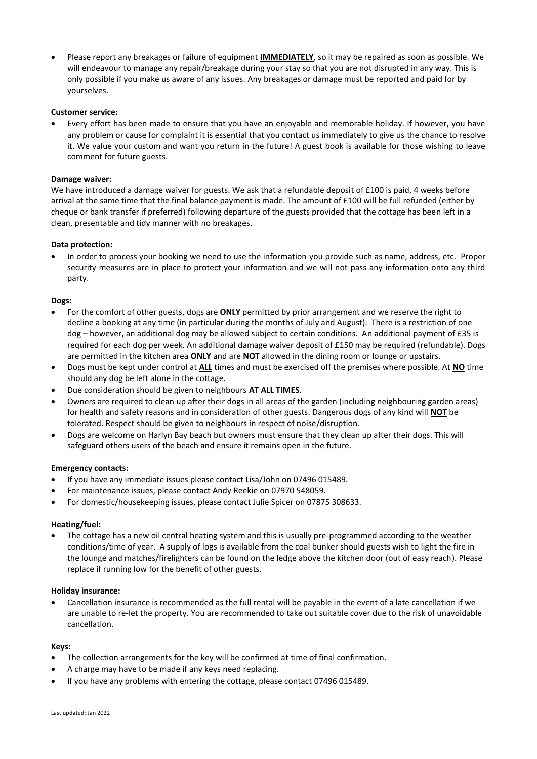• Please report any breakages or failure of equipment **IMMEDIATELY**, so it may be repaired as soon as possible. We will endeavour to manage any repair/breakage during your stay so that you are not disrupted in any way. This is only possible if you make us aware of any issues. Any breakages or damage must be reported and paid for by yourselves.

## **Customer service:**

• Every effort has been made to ensure that you have an enjoyable and memorable holiday. If however, you have any problem or cause for complaint it is essential that you contact us immediately to give us the chance to resolve it. We value your custom and want you return in the future! A guest book is available for those wishing to leave comment for future guests.

## **Damage waiver:**

We have introduced a damage waiver for guests. We ask that a refundable deposit of £100 is paid, 4 weeks before arrival at the same time that the final balance payment is made. The amount of £100 will be full refunded (either by cheque or bank transfer if preferred) following departure of the guests provided that the cottage has been left in a clean, presentable and tidy manner with no breakages.

## **Data protection:**

• In order to process your booking we need to use the information you provide such as name, address, etc. Proper security measures are in place to protect your information and we will not pass any information onto any third party.

## **Dogs:**

- For the comfort of other guests, dogs are **ONLY** permitted by prior arrangement and we reserve the right to decline a booking at any time (in particular during the months of July and August). There is a restriction of one dog – however, an additional dog may be allowed subject to certain conditions. An additional payment of £35 is required for each dog per week. An additional damage waiver deposit of £150 may be required (refundable). Dogs are permitted in the kitchen area **ONLY** and are **NOT** allowed in the dining room or lounge or upstairs.
- Dogs must be kept under control at **ALL** times and must be exercised off the premises where possible. At **NO** time should any dog be left alone in the cottage.
- Due consideration should be given to neighbours **AT ALL TIMES**.
- Owners are required to clean up after their dogs in all areas of the garden (including neighbouring garden areas) for health and safety reasons and in consideration of other guests. Dangerous dogs of any kind will **NOT** be tolerated. Respect should be given to neighbours in respect of noise/disruption.
- Dogs are welcome on Harlyn Bay beach but owners must ensure that they clean up after their dogs. This will safeguard others users of the beach and ensure it remains open in the future.

#### **Emergency contacts:**

- If you have any immediate issues please contact Lisa/John on 07496 015489.
- For maintenance issues, please contact Andy Reekie on 07970 548059.
- For domestic/housekeeping issues, please contact Julie Spicer on 07875 308633.

#### **Heating/fuel:**

• The cottage has a new oil central heating system and this is usually pre-programmed according to the weather conditions/time of year. A supply of logs is available from the coal bunker should guests wish to light the fire in the lounge and matches/firelighters can be found on the ledge above the kitchen door (out of easy reach). Please replace if running low for the benefit of other guests.

#### **Holiday insurance:**

• Cancellation insurance is recommended as the full rental will be payable in the event of a late cancellation if we are unable to re-let the property. You are recommended to take out suitable cover due to the risk of unavoidable cancellation.

#### **Keys:**

- The collection arrangements for the key will be confirmed at time of final confirmation.
- A charge may have to be made if any keys need replacing.
- If you have any problems with entering the cottage, please contact 07496 015489.